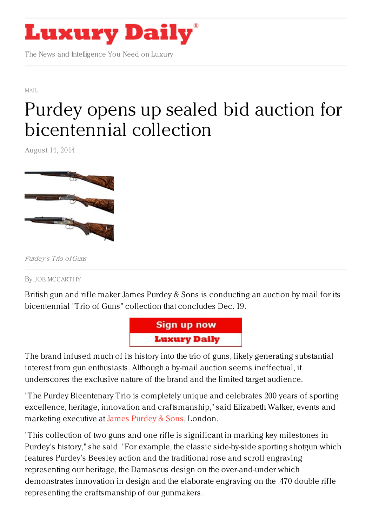

The News and Intelligence You Need on Luxury

[MAIL](https://www.luxurydaily.com/category/news/mail/)

## Purdey opens up sealed bid auction for [bicentennial](https://www.luxurydaily.com/purdey-opens-up-sealed-bid-auction-for-bicentennial-collection/) collection

August 14, 2014



Purdey's Trio ofGuns

By JOE [MCCART](/author/joe-mccarthy) HY

British gun and rifle maker James Purdey & Sons is conducting an auction by mail for its bicentennial "Trio of Guns" collection that concludes Dec. 19.



The brand infused much of its history into the trio of guns, likely generating substantial interest from gun enthusiasts. Although a by-mail auction seems ineffectual, it underscores the exclusive nature of the brand and the limited target audience.

"The Purdey Bicentenary Trio is completely unique and celebrates 200 years of sporting excellence, heritage, innovation and craftsmanship," said Elizabeth Walker, events and marketing executive at James [Purdey](http://www.purdey.com/guns-rifles/) & Sons, London.

"This collection of two guns and one rifle is significant in marking key milestones in Purdey's history," she said. "For example, the classic side-by-side sporting shotgun which features Purdey's Beesley action and the traditional rose and scroll engraving representing our heritage, the Damascus design on the over-and-under which demonstrates innovation in design and the elaborate engraving on the .470 double rifle representing the craftsmanship of our gunmakers.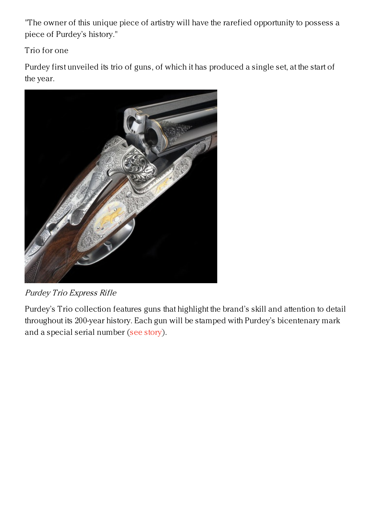"The owner of this unique piece of artistry will have the rarefied opportunity to possess a piece of Purdey's history."

Trio for one

Purdey first unveiled its trio of guns, of which it has produced a single set, at the start of the year.



Purdey Trio Express Rifle

Purdey's Trio collection features guns that highlight the brand's skill and attention to detail throughout its 200-year history. Each gun will be stamped with Purdey's bicentenary mark and a special serial number (see [story](https://www.luxurydaily.com/purdey-underscores-heritage-with-craftsmanship-effort/)).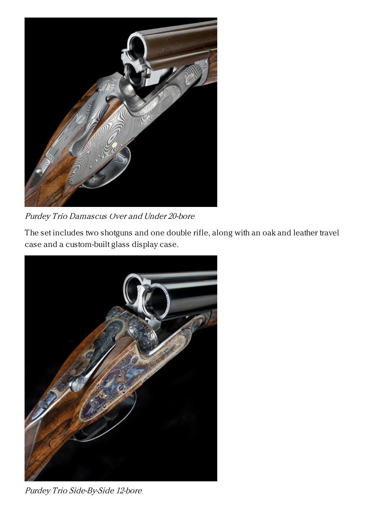

Purdey Trio Damascus Over and Under 20-bore

The set includes two shotguns and one double rifle, along with an oak and leather travel case and a custom-built glass display case.



Purdey Trio Side-By-Side 12-bore